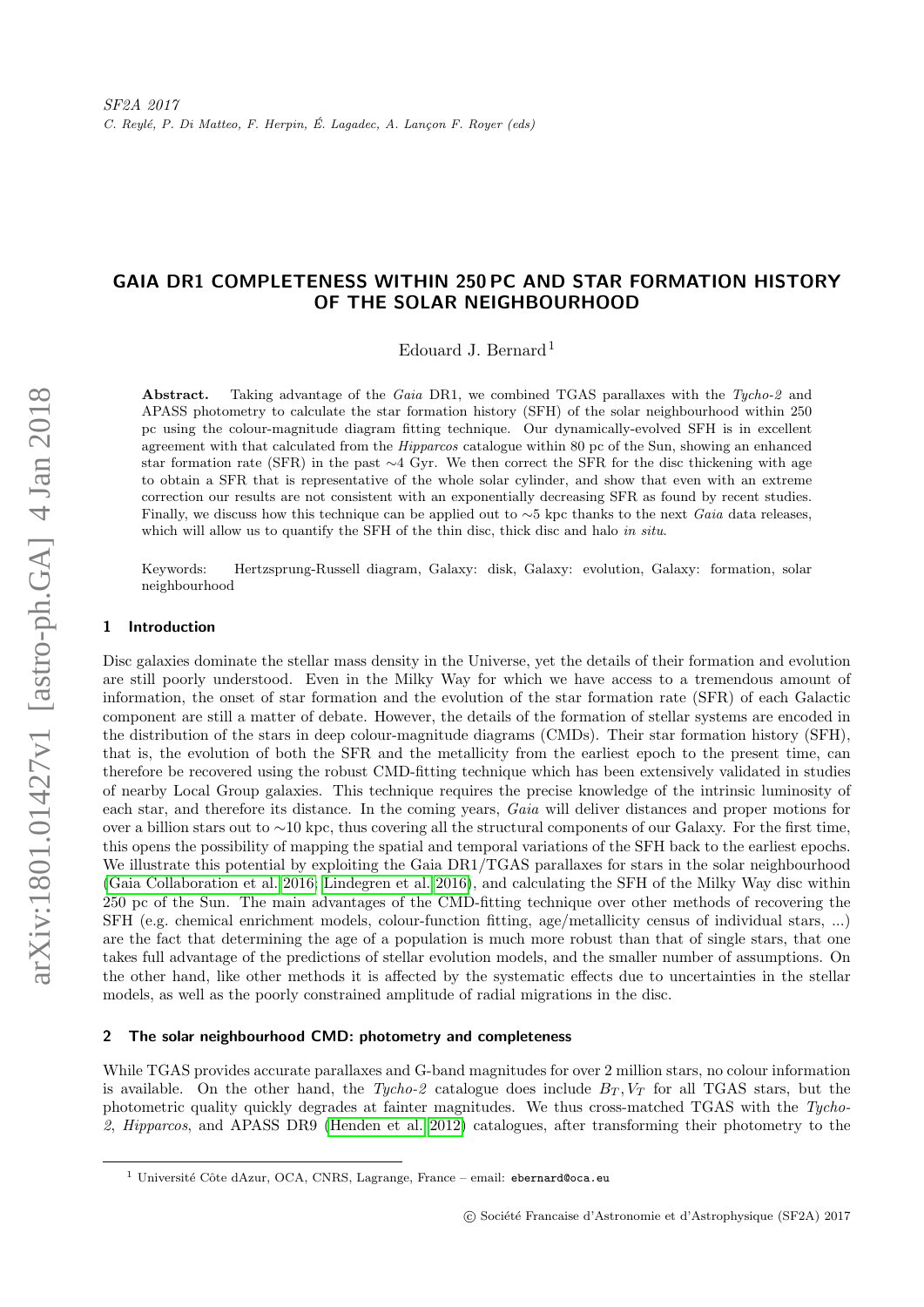# GAIA DR1 COMPLETENESS WITHIN 250 PC AND STAR FORMATION HISTORY OF THE SOLAR NEIGHBOURHOOD

Edouard J. Bernard<sup>1</sup>

Abstract. Taking advantage of the Gaia DR1, we combined TGAS parallaxes with the Tycho-2 and APASS photometry to calculate the star formation history (SFH) of the solar neighbourhood within 250 pc using the colour-magnitude diagram fitting technique. Our dynamically-evolved SFH is in excellent agreement with that calculated from the Hipparcos catalogue within 80 pc of the Sun, showing an enhanced star formation rate (SFR) in the past ∼4 Gyr. We then correct the SFR for the disc thickening with age to obtain a SFR that is representative of the whole solar cylinder, and show that even with an extreme correction our results are not consistent with an exponentially decreasing SFR as found by recent studies. Finally, we discuss how this technique can be applied out to  $\sim$ 5 kpc thanks to the next Gaia data releases, which will allow us to quantify the SFH of the thin disc, thick disc and halo in situ.

Keywords: Hertzsprung-Russell diagram, Galaxy: disk, Galaxy: evolution, Galaxy: formation, solar neighbourhood

### 1 Introduction

Disc galaxies dominate the stellar mass density in the Universe, yet the details of their formation and evolution are still poorly understood. Even in the Milky Way for which we have access to a tremendous amount of information, the onset of star formation and the evolution of the star formation rate (SFR) of each Galactic component are still a matter of debate. However, the details of the formation of stellar systems are encoded in the distribution of the stars in deep colour-magnitude diagrams (CMDs). Their star formation history (SFH), that is, the evolution of both the SFR and the metallicity from the earliest epoch to the present time, can therefore be recovered using the robust CMD-fitting technique which has been extensively validated in studies of nearby Local Group galaxies. This technique requires the precise knowledge of the intrinsic luminosity of each star, and therefore its distance. In the coming years, Gaia will deliver distances and proper motions for over a billion stars out to ∼10 kpc, thus covering all the structural components of our Galaxy. For the first time, this opens the possibility of mapping the spatial and temporal variations of the SFH back to the earliest epochs. We illustrate this potential by exploiting the Gaia DR1/TGAS parallaxes for stars in the solar neighbourhood [\(Gaia Collaboration et al. 2016;](#page-3-0) [Lindegren et al. 2016\)](#page-4-0), and calculating the SFH of the Milky Way disc within 250 pc of the Sun. The main advantages of the CMD-fitting technique over other methods of recovering the SFH (e.g. chemical enrichment models, colour-function fitting, age/metallicity census of individual stars, ...) are the fact that determining the age of a population is much more robust than that of single stars, that one takes full advantage of the predictions of stellar evolution models, and the smaller number of assumptions. On the other hand, like other methods it is affected by the systematic effects due to uncertainties in the stellar models, as well as the poorly constrained amplitude of radial migrations in the disc.

### 2 The solar neighbourhood CMD: photometry and completeness

While TGAS provides accurate parallaxes and G-band magnitudes for over 2 million stars, no colour information is available. On the other hand, the Tycho-2 catalogue does include  $B_T$ ,  $V_T$  for all TGAS stars, but the photometric quality quickly degrades at fainter magnitudes. We thus cross-matched TGAS with the Tycho-2, Hipparcos, and APASS DR9 [\(Henden et al. 2012\)](#page-3-1) catalogues, after transforming their photometry to the

<sup>&</sup>lt;sup>1</sup> Université Côte dAzur, OCA, CNRS, Lagrange, France – email: ebernard@oca.eu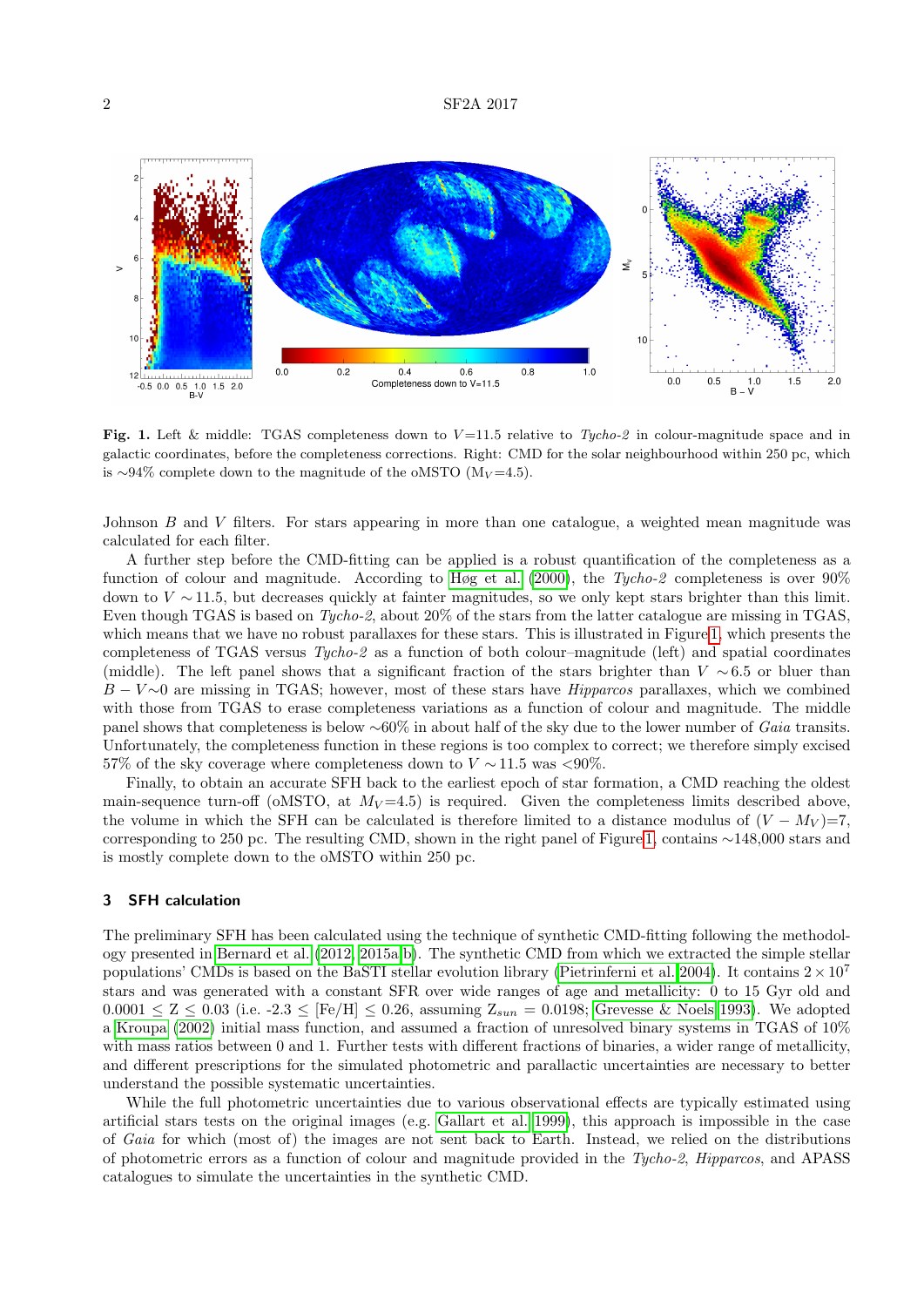

<span id="page-1-0"></span>Fig. 1. Left & middle: TGAS completeness down to  $V=11.5$  relative to Tycho-2 in colour-magnitude space and in galactic coordinates, before the completeness corrections. Right: CMD for the solar neighbourhood within 250 pc, which is ∼94% complete down to the magnitude of the oMSTO ( $M_V$ =4.5).

Johnson B and V filters. For stars appearing in more than one catalogue, a weighted mean magnitude was calculated for each filter.

A further step before the CMD-fitting can be applied is a robust quantification of the completeness as a function of colour and magnitude. According to [Høg et al.](#page-4-1) [\(2000\)](#page-4-1), the Tycho-2 completeness is over 90% down to  $V \sim 11.5$ , but decreases quickly at fainter magnitudes, so we only kept stars brighter than this limit. Even though TGAS is based on Tycho-2, about 20% of the stars from the latter catalogue are missing in TGAS, which means that we have no robust parallaxes for these stars. This is illustrated in Figure [1,](#page-1-0) which presents the completeness of TGAS versus Tycho-2 as a function of both colour–magnitude (left) and spatial coordinates (middle). The left panel shows that a significant fraction of the stars brighter than  $V \sim 6.5$  or bluer than  $B - V \sim 0$  are missing in TGAS; however, most of these stars have *Hipparcos* parallaxes, which we combined with those from TGAS to erase completeness variations as a function of colour and magnitude. The middle panel shows that completeness is below ∼60% in about half of the sky due to the lower number of Gaia transits. Unfortunately, the completeness function in these regions is too complex to correct; we therefore simply excised 57% of the sky coverage where completeness down to  $V \sim 11.5$  was <90%.

Finally, to obtain an accurate SFH back to the earliest epoch of star formation, a CMD reaching the oldest main-sequence turn-off (oMSTO, at  $M_V = 4.5$ ) is required. Given the completeness limits described above, the volume in which the SFH can be calculated is therefore limited to a distance modulus of  $(V - M_V) = 7$ , corresponding to 250 pc. The resulting CMD, shown in the right panel of Figure [1,](#page-1-0) contains ∼148,000 stars and is mostly complete down to the oMSTO within 250 pc.

### 3 SFH calculation

The preliminary SFH has been calculated using the technique of synthetic CMD-fitting following the methodology presented in [Bernard et al.](#page-3-2) [\(2012,](#page-3-2) [2015a,](#page-3-3)[b\)](#page-3-4). The synthetic CMD from which we extracted the simple stellar populations' CMDs is based on the BaSTI stellar evolution library [\(Pietrinferni et al. 2004\)](#page-4-2). It contains  $2 \times 10^7$ stars and was generated with a constant SFR over wide ranges of age and metallicity: 0 to 15 Gyr old and  $0.0001 \le Z \le 0.03$  (i.e. -2.3  $\le$  [Fe/H]  $\le 0.26$ , assuming  $Z_{sun} = 0.0198$ ; [Grevesse & Noels 1993\)](#page-3-5). We adopted a [Kroupa](#page-4-3) [\(2002\)](#page-4-3) initial mass function, and assumed a fraction of unresolved binary systems in TGAS of 10% with mass ratios between 0 and 1. Further tests with different fractions of binaries, a wider range of metallicity, and different prescriptions for the simulated photometric and parallactic uncertainties are necessary to better understand the possible systematic uncertainties.

While the full photometric uncertainties due to various observational effects are typically estimated using artificial stars tests on the original images (e.g. [Gallart et al. 1999\)](#page-3-6), this approach is impossible in the case of Gaia for which (most of) the images are not sent back to Earth. Instead, we relied on the distributions of photometric errors as a function of colour and magnitude provided in the Tycho-2, Hipparcos, and APASS catalogues to simulate the uncertainties in the synthetic CMD.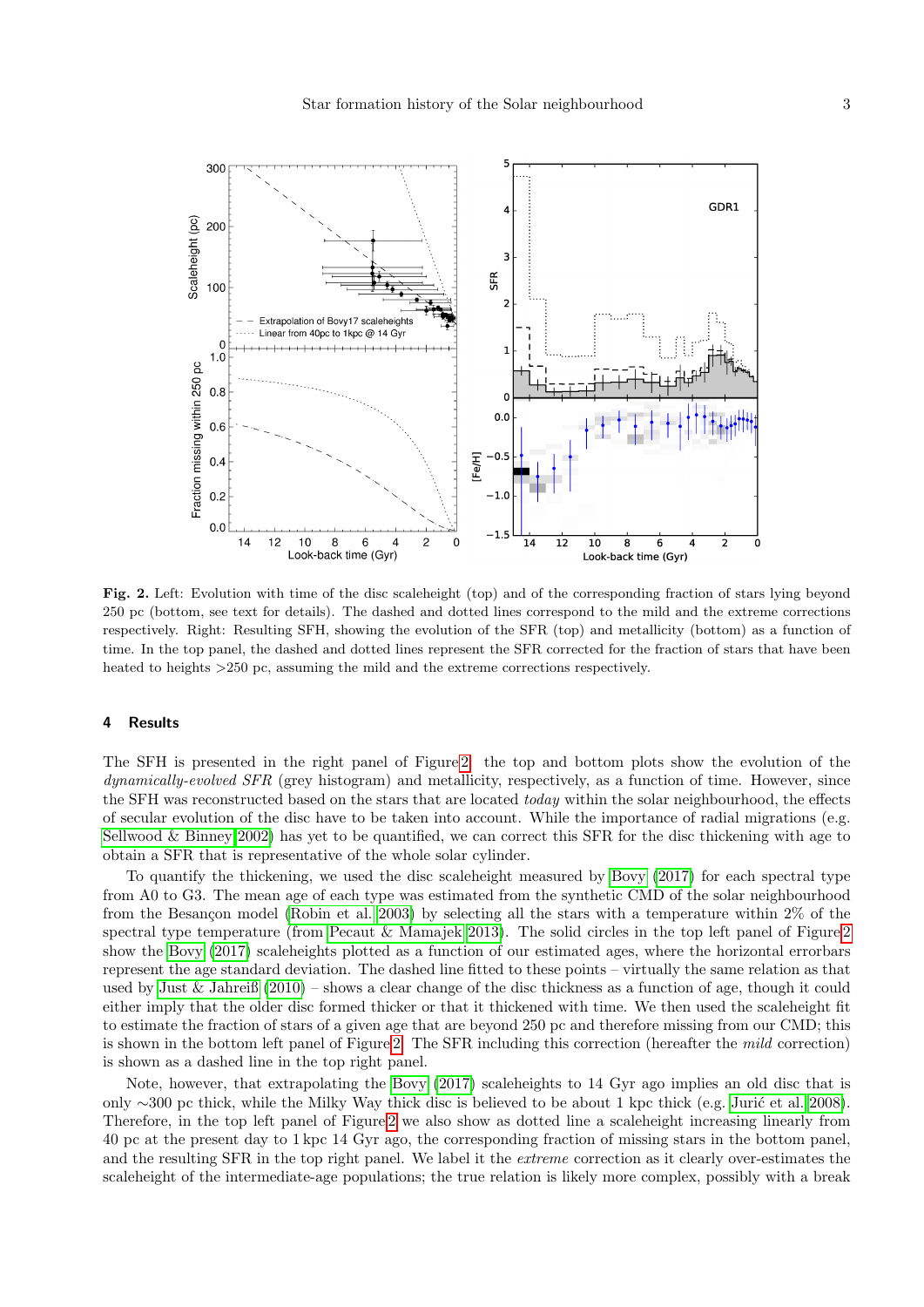

<span id="page-2-0"></span>Fig. 2. Left: Evolution with time of the disc scaleheight (top) and of the corresponding fraction of stars lying beyond 250 pc (bottom, see text for details). The dashed and dotted lines correspond to the mild and the extreme corrections respectively. Right: Resulting SFH, showing the evolution of the SFR (top) and metallicity (bottom) as a function of time. In the top panel, the dashed and dotted lines represent the SFR corrected for the fraction of stars that have been heated to heights >250 pc, assuming the mild and the extreme corrections respectively.

## 4 Results

The SFH is presented in the right panel of Figure [2:](#page-2-0) the top and bottom plots show the evolution of the dynamically-evolved SFR (grey histogram) and metallicity, respectively, as a function of time. However, since the SFH was reconstructed based on the stars that are located *today* within the solar neighbourhood, the effects of secular evolution of the disc have to be taken into account. While the importance of radial migrations (e.g. [Sellwood & Binney 2002\)](#page-4-4) has yet to be quantified, we can correct this SFR for the disc thickening with age to obtain a SFR that is representative of the whole solar cylinder.

To quantify the thickening, we used the disc scaleheight measured by [Bovy](#page-3-7) [\(2017\)](#page-3-7) for each spectral type from A0 to G3. The mean age of each type was estimated from the synthetic CMD of the solar neighbourhood from the Besançon model [\(Robin et al. 2003\)](#page-4-5) by selecting all the stars with a temperature within  $2\%$  of the spectral type temperature (from [Pecaut & Mamajek 2013\)](#page-4-6). The solid circles in the top left panel of Figure [2](#page-2-0) show the [Bovy](#page-3-7) [\(2017\)](#page-3-7) scaleheights plotted as a function of our estimated ages, where the horizontal errorbars represent the age standard deviation. The dashed line fitted to these points – virtually the same relation as that used by [Just & Jahreiß](#page-4-7) [\(2010\)](#page-4-7) – shows a clear change of the disc thickness as a function of age, though it could either imply that the older disc formed thicker or that it thickened with time. We then used the scaleheight fit to estimate the fraction of stars of a given age that are beyond 250 pc and therefore missing from our CMD; this is shown in the bottom left panel of Figure [2.](#page-2-0) The SFR including this correction (hereafter the mild correction) is shown as a dashed line in the top right panel.

Note, however, that extrapolating the [Bovy](#page-3-7) [\(2017\)](#page-3-7) scaleheights to 14 Gyr ago implies an old disc that is only ∼300 pc thick, while the Milky Way thick disc is believed to be about 1 kpc thick (e.g. Jurić et al. 2008). Therefore, in the top left panel of Figure [2](#page-2-0) we also show as dotted line a scaleheight increasing linearly from 40 pc at the present day to 1 kpc 14 Gyr ago, the corresponding fraction of missing stars in the bottom panel, and the resulting SFR in the top right panel. We label it the *extreme* correction as it clearly over-estimates the scaleheight of the intermediate-age populations; the true relation is likely more complex, possibly with a break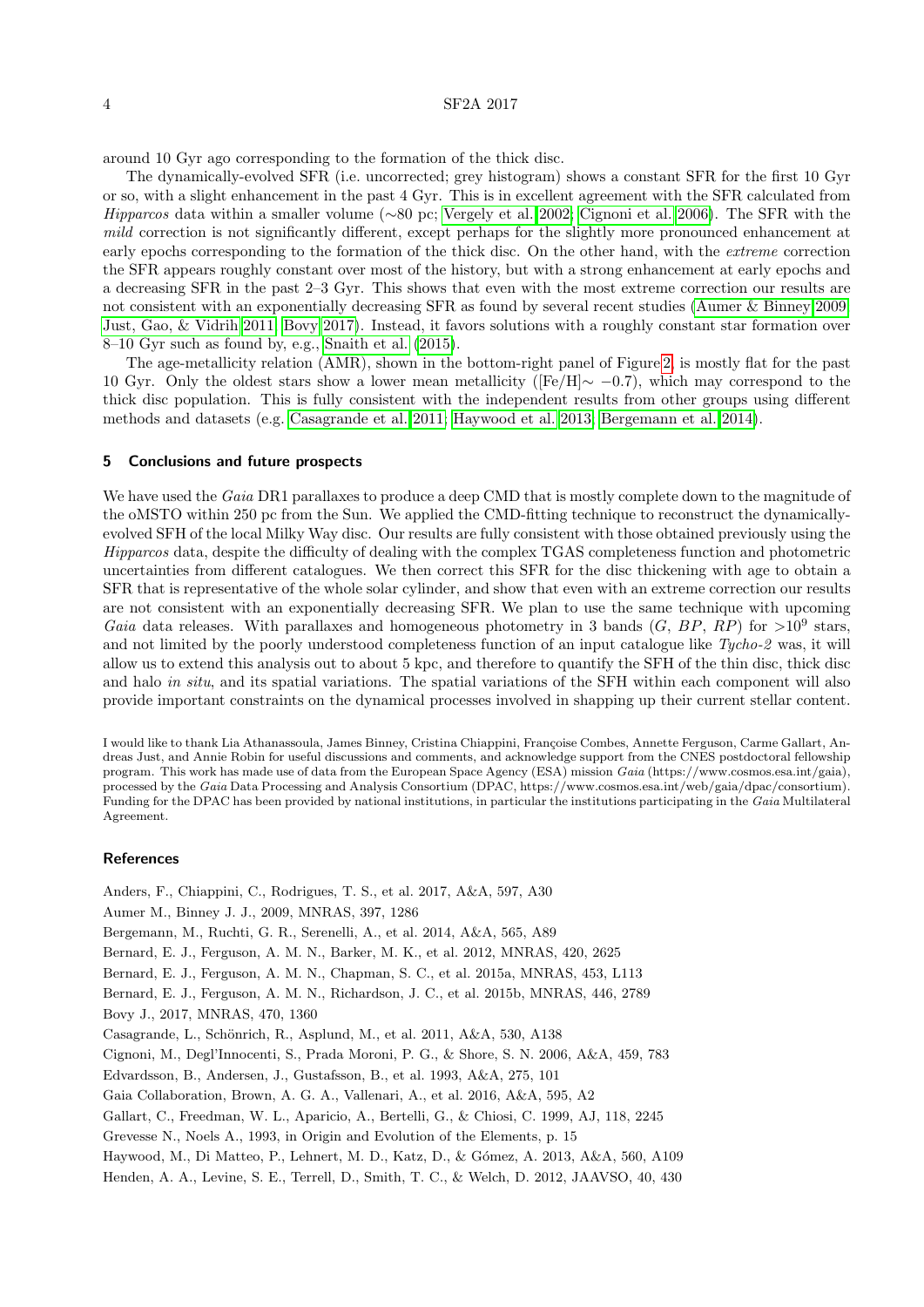### 4 SF2A 2017

around 10 Gyr ago corresponding to the formation of the thick disc.

The dynamically-evolved SFR (i.e. uncorrected; grey histogram) shows a constant SFR for the first 10 Gyr or so, with a slight enhancement in the past 4 Gyr. This is in excellent agreement with the SFR calculated from Hipparcos data within a smaller volume (∼80 pc; [Vergely et al. 2002;](#page-4-9) [Cignoni et al. 2006\)](#page-3-8). The SFR with the mild correction is not significantly different, except perhaps for the slightly more pronounced enhancement at early epochs corresponding to the formation of the thick disc. On the other hand, with the extreme correction the SFR appears roughly constant over most of the history, but with a strong enhancement at early epochs and a decreasing SFR in the past 2–3 Gyr. This shows that even with the most extreme correction our results are not consistent with an exponentially decreasing SFR as found by several recent studies [\(Aumer & Binney 2009;](#page-3-9) [Just, Gao, & Vidrih 2011;](#page-4-10) [Bovy 2017\)](#page-3-7). Instead, it favors solutions with a roughly constant star formation over 8–10 Gyr such as found by, e.g., [Snaith et al.](#page-4-11) [\(2015\)](#page-4-11).

The age-metallicity relation (AMR), shown in the bottom-right panel of Figure [2,](#page-2-0) is mostly flat for the past 10 Gyr. Only the oldest stars show a lower mean metallicity ([Fe/H]∼ −0.7), which may correspond to the thick disc population. This is fully consistent with the independent results from other groups using different methods and datasets (e.g. [Casagrande et al. 2011;](#page-3-10) [Haywood et al. 2013;](#page-3-11) [Bergemann et al. 2014\)](#page-3-12).

### 5 Conclusions and future prospects

We have used the Gaia DR1 parallaxes to produce a deep CMD that is mostly complete down to the magnitude of the oMSTO within 250 pc from the Sun. We applied the CMD-fitting technique to reconstruct the dynamicallyevolved SFH of the local Milky Way disc. Our results are fully consistent with those obtained previously using the Hipparcos data, despite the difficulty of dealing with the complex TGAS completeness function and photometric uncertainties from different catalogues. We then correct this SFR for the disc thickening with age to obtain a SFR that is representative of the whole solar cylinder, and show that even with an extreme correction our results are not consistent with an exponentially decreasing SFR. We plan to use the same technique with upcoming Gaia data releases. With parallaxes and homogeneous photometry in 3 bands  $(G, BP, RP)$  for  $>10^9$  stars, and not limited by the poorly understood completeness function of an input catalogue like Tycho-2 was, it will allow us to extend this analysis out to about 5 kpc, and therefore to quantify the SFH of the thin disc, thick disc and halo in situ, and its spatial variations. The spatial variations of the SFH within each component will also provide important constraints on the dynamical processes involved in shapping up their current stellar content.

I would like to thank Lia Athanassoula, James Binney, Cristina Chiappini, Françoise Combes, Annette Ferguson, Carme Gallart, Andreas Just, and Annie Robin for useful discussions and comments, and acknowledge support from the CNES postdoctoral fellowship program. This work has made use of data from the European Space Agency (ESA) mission Gaia (https://www.cosmos.esa.int/gaia), processed by the Gaia Data Processing and Analysis Consortium (DPAC, https://www.cosmos.esa.int/web/gaia/dpac/consortium). Funding for the DPAC has been provided by national institutions, in particular the institutions participating in the Gaia Multilateral Agreement.

### References

<span id="page-3-12"></span><span id="page-3-11"></span><span id="page-3-10"></span><span id="page-3-9"></span><span id="page-3-8"></span><span id="page-3-7"></span><span id="page-3-6"></span><span id="page-3-5"></span><span id="page-3-4"></span><span id="page-3-3"></span><span id="page-3-2"></span><span id="page-3-1"></span><span id="page-3-0"></span>Anders, F., Chiappini, C., Rodrigues, T. S., et al. 2017, A&A, 597, A30 Aumer M., Binney J. J., 2009, MNRAS, 397, 1286 Bergemann, M., Ruchti, G. R., Serenelli, A., et al. 2014, A&A, 565, A89 Bernard, E. J., Ferguson, A. M. N., Barker, M. K., et al. 2012, MNRAS, 420, 2625 Bernard, E. J., Ferguson, A. M. N., Chapman, S. C., et al. 2015a, MNRAS, 453, L113 Bernard, E. J., Ferguson, A. M. N., Richardson, J. C., et al. 2015b, MNRAS, 446, 2789 Bovy J., 2017, MNRAS, 470, 1360 Casagrande, L., Schönrich, R., Asplund, M., et al. 2011, A&A, 530, A138 Cignoni, M., Degl'Innocenti, S., Prada Moroni, P. G., & Shore, S. N. 2006, A&A, 459, 783 Edvardsson, B., Andersen, J., Gustafsson, B., et al. 1993, A&A, 275, 101 Gaia Collaboration, Brown, A. G. A., Vallenari, A., et al. 2016, A&A, 595, A2 Gallart, C., Freedman, W. L., Aparicio, A., Bertelli, G., & Chiosi, C. 1999, AJ, 118, 2245 Grevesse N., Noels A., 1993, in Origin and Evolution of the Elements, p. 15 Haywood, M., Di Matteo, P., Lehnert, M. D., Katz, D., & Gómez, A. 2013, A&A, 560, A109 Henden, A. A., Levine, S. E., Terrell, D., Smith, T. C., & Welch, D. 2012, JAAVSO, 40, 430